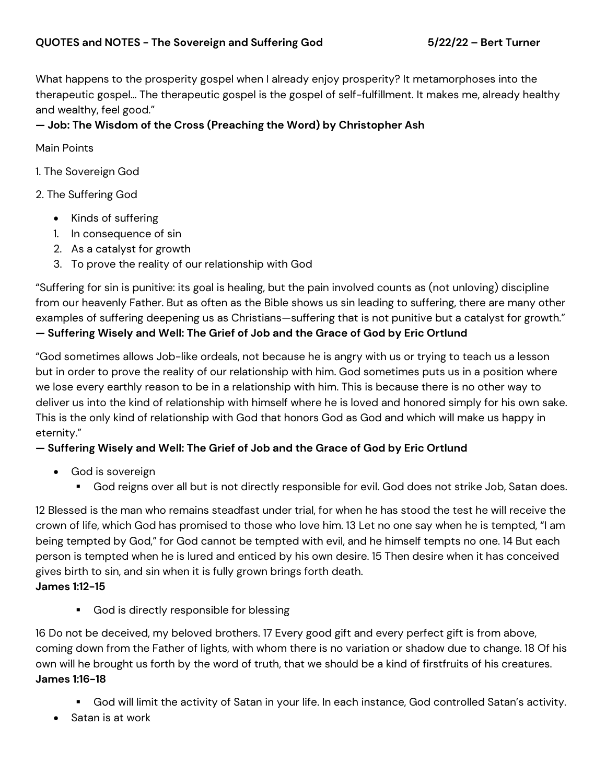### **QUOTES and NOTES - The Sovereign and Suffering God 5/22/22 – Bert Turner**

What happens to the prosperity gospel when I already enjoy prosperity? It metamorphoses into the therapeutic gospel… The therapeutic gospel is the gospel of self-fulfillment. It makes me, already healthy and wealthy, feel good."

### **— Job: The Wisdom of the Cross (Preaching the Word) by Christopher Ash**

Main Points

1. The Sovereign God

2. The Suffering God

- Kinds of suffering
- 1. In consequence of sin
- 2. As a catalyst for growth
- 3. To prove the reality of our relationship with God

"Suffering for sin is punitive: its goal is healing, but the pain involved counts as (not unloving) discipline from our heavenly Father. But as often as the Bible shows us sin leading to suffering, there are many other examples of suffering deepening us as Christians—suffering that is not punitive but a catalyst for growth." **— Suffering Wisely and Well: The Grief of Job and the Grace of God by Eric Ortlund**

"God sometimes allows Job-like ordeals, not because he is angry with us or trying to teach us a lesson but in order to prove the reality of our relationship with him. God sometimes puts us in a position where we lose every earthly reason to be in a relationship with him. This is because there is no other way to deliver us into the kind of relationship with himself where he is loved and honored simply for his own sake. This is the only kind of relationship with God that honors God as God and which will make us happy in eternity."

#### **— Suffering Wisely and Well: The Grief of Job and the Grace of God by Eric Ortlund**

- God is sovereign
	- **•** God reigns over all but is not directly responsible for evil. God does not strike Job, Satan does.

12 Blessed is the man who remains steadfast under trial, for when he has stood the test he will receive the crown of life, which God has promised to those who love him. 13 Let no one say when he is tempted, "I am being tempted by God," for God cannot be tempted with evil, and he himself tempts no one. 14 But each person is tempted when he is lured and enticed by his own desire. 15 Then desire when it has conceived gives birth to sin, and sin when it is fully grown brings forth death. **James 1:12-15**

■ God is directly responsible for blessing

16 Do not be deceived, my beloved brothers. 17 Every good gift and every perfect gift is from above, coming down from the Father of lights, with whom there is no variation or shadow due to change. 18 Of his own will he brought us forth by the word of truth, that we should be a kind of firstfruits of his creatures. **James 1:16-18**

- God will limit the activity of Satan in your life. In each instance, God controlled Satan's activity.
- Satan is at work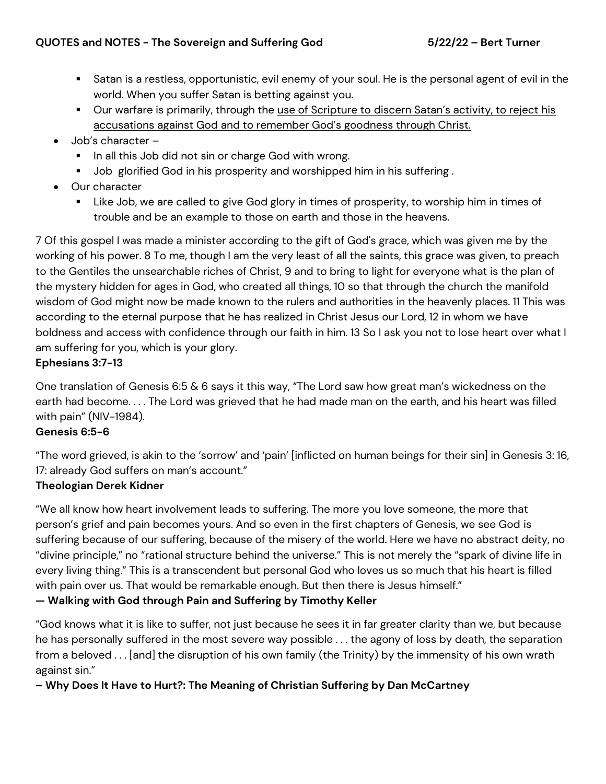- **EXT** Satan is a restless, opportunistic, evil enemy of your soul. He is the personal agent of evil in the world. When you suffer Satan is betting against you.
- Our warfare is primarily, through the use of Scripture to discern Satan's activity, to reject his accusations against God and to remember God's goodness through Christ.
- Job's character
	- In all this Job did not sin or charge God with wrong.
	- Job glorified God in his prosperity and worshipped him in his suffering.
- Our character
	- **.** Like Job, we are called to give God glory in times of prosperity, to worship him in times of trouble and be an example to those on earth and those in the heavens.

7 Of this gospel I was made a minister according to the gift of God's grace, which was given me by the working of his power. 8 To me, though I am the very least of all the saints, this grace was given, to preach to the Gentiles the unsearchable riches of Christ, 9 and to bring to light for everyone what is the plan of the mystery hidden for ages in God, who created all things, 10 so that through the church the manifold wisdom of God might now be made known to the rulers and authorities in the heavenly places. 11 This was according to the eternal purpose that he has realized in Christ Jesus our Lord, 12 in whom we have boldness and access with confidence through our faith in him. 13 So I ask you not to lose heart over what I am suffering for you, which is your glory.

## **Ephesians 3:7-13**

One translation of Genesis 6:5 & 6 says it this way, "The Lord saw how great man's wickedness on the earth had become. . . . The Lord was grieved that he had made man on the earth, and his heart was filled with pain" (NIV-1984).

### **Genesis 6:5-6**

"The word grieved, is akin to the 'sorrow' and 'pain' [inflicted on human beings for their sin] in Genesis 3: 16, 17: already God suffers on man's account."

# **Theologian Derek Kidner**

"We all know how heart involvement leads to suffering. The more you love someone, the more that person's grief and pain becomes yours. And so even in the first chapters of Genesis, we see God is suffering because of our suffering, because of the misery of the world. Here we have no abstract deity, no "divine principle," no "rational structure behind the universe." This is not merely the "spark of divine life in every living thing." This is a transcendent but personal God who loves us so much that his heart is filled with pain over us. That would be remarkable enough. But then there is Jesus himself."

# **— Walking with God through Pain and Suffering by Timothy Keller**

"God knows what it is like to suffer, not just because he sees it in far greater clarity than we, but because he has personally suffered in the most severe way possible . . . the agony of loss by death, the separation from a beloved . . . [and] the disruption of his own family (the Trinity) by the immensity of his own wrath against sin."

**– Why Does It Have to Hurt?: The Meaning of Christian Suffering by Dan McCartney**